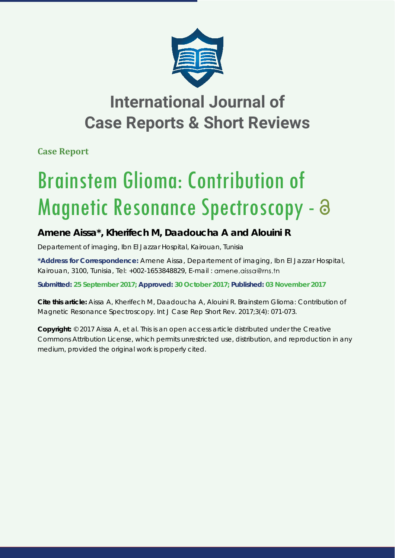

## **International Journal of Case Reports & Short Reviews**

**Case Report**

# Brainstem Glioma: Contribution of Magnetic Resonance Spectroscopy - a

### **Amene Aissa\*, Kherifech M, Daadoucha A and Alouini R**

*Departement of imaging, Ibn El Jazzar Hospital, Kairouan, Tunisia*

**\*Address for Correspondence:** Amene Aissa, Departement of imaging, Ibn El Jazzar Hospital, Kairouan, 3100, Tunisia, Tel: +002-1653848829, E-mail : amene.aissa@rns.tn

**Submitted: 25 September 2017; Approved: 30 October 2017; Published: 03 November 2017**

**Cite this article:** Aissa A, Kherifech M, Daadoucha A, Alouini R. Brainstem Glioma: Contribution of Magnetic Resonance Spectroscopy. Int J Case Rep Short Rev. 2017;3(4): 071-073.

**Copyright:** © 2017 Aissa A, et al. This is an open access article distributed under the Creative Commons Attribution License, which permits unrestricted use, distribution, and reproduction in any medium, provided the original work is properly cited.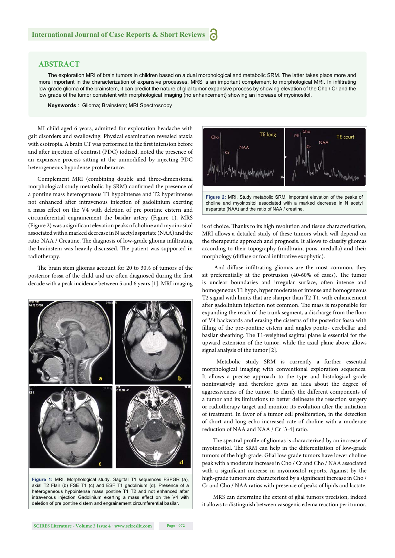#### **ABSTRACT**

The exploration MRI of brain tumors in children based on a dual morphological and metabolic SRM. The latter takes place more and more important in the characterization of expansive processes. MRS is an important complement to morphological MRI. In infiltrating low-grade glioma of the brainstem, it can predict the nature of glial tumor expansive process by showing elevation of the Cho / Cr and the low grade of the tumor consistent with morphological imaging (no enhancement) showing an increase of myoinositol.

**Keyswords** : Glioma; Brainstem; MRI Spectroscopy

MI child aged 6 years, admitted for exploration headache with gait disorders and swallowing. Physical examination revealed ataxia with esotropia. A brain CT was performed in the first intension before and after injection of contrast (PDC) iodized, noted the presence of an expansive process sitting at the unmodified by injecting PDC heterogeneous hypodense protuberance.

Complement MRI (combining double and three-dimensional morphological study metabolic by SRM) confirmed the presence of a pontine mass heterogeneous T1 hypointense and T2 hyperintense not enhanced after intravenous injection of gadolinium exerting a mass effect on the V4 with deletion of pre pontine cistern and circumferential engrainement the basilar artery (Figure 1). MRS (Figure 2) was a significant elevation peaks of choline and myoinositol associated with a marked decrease in N acetyl aspartate (NAA) and the ratio NAA / Creatine. The diagnosis of low-grade glioma infiltrating the brainstem was heavily discussed. The patient was supported in radiotherapy.

The brain stem gliomas account for 20 to 30% of tumors of the posterior fossa of the child and are often diagnosed during the first decade with a peak incidence between 5 and 6 years [1]. MRI imaging



**Figure 1:** MRI. Morphological study. Sagittal T1 sequences FSPGR (a), axial T2 Flair (b) FSE T1 (c) and ESF T1 gadolinium (d). Presence of a heterogeneous hypointense mass pontine T1 T2 and not enhanced after intravenous injection Gadolinium exerting a mass effect on the V4 with deletion of pre pontine cistern and engrainement circumferential basilar.



choline and myoinositol associated with a marked decrease in N acetyl aspartate (NAA) and the ratio of NAA / creatine.

is of choice. Thanks to its high resolution and tissue characterization, MRI allows a detailed study of these tumors which will depend on the therapeutic approach and prognosis. It allows to classify gliomas according to their topography (midbrain, pons, medulla) and their morphology (diffuse or focal infiltrative exophytic).

And diffuse infiltrating gliomas are the most common, they sit preferentially at the protrusion (40-60% of cases). The tumor is unclear boundaries and irregular surface, often intense and homogeneous T1 hypo, hyper moderate or intense and homogeneous T2 signal with limits that are sharper than T2 T1, with enhancement after gadolinium injection not common. The mass is responsible for expanding the reach of the trunk segment, a discharge from the floor of V4 backwards and erasing the cisterns of the posterior fossa with filling of the pre-pontine cistern and angles ponto- cerebellar and basilar sheathing. The T1-weighted sagittal plane is essential for the upward extension of the tumor, while the axial plane above allows signal analysis of the tumor [2].

 Metabolic study SRM is currently a further essential morphological imaging with conventional exploration sequences. It allows a precise approach to the type and histological grade noninvasively and therefore gives an idea about the degree of aggressiveness of the tumor, to clarify the different components of a tumor and its limitations to better delineate the resection surgery or radiotherapy target and monitor its evolution after the initiation of treatment. In favor of a tumor cell proliferation, in the detection of short and long echo increased rate of choline with a moderate reduction of NAA and NAA / Cr [3-4] ratio.

The spectral profile of gliomas is characterized by an increase of myoinositol. The SRM can help in the differentiation of low-grade tumors of the high grade. Glial low-grade tumors have lower choline peak with a moderate increase in Cho / Cr and Cho / NAA associated with a significant increase in myoinositol reports. Against by the high-grade tumors are characterized by a significant increase in Cho / Cr and Cho / NAA ratios with presence of peaks of lipids and lactate.

 MRS can determine the extent of glial tumors precision, indeed it allows to distinguish between vasogenic edema reaction peri tumor,